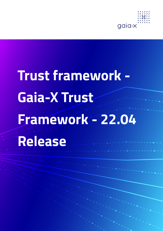

# **Trust framework - Gaia-X Trust Framework - 22.04 Release**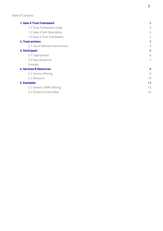#### **[1. Gaia-X Trust Framework](#page-2-0)**

| 1.1 Trust Framework scope          | 3  |
|------------------------------------|----|
| 1.2 Gaia-X Self-Description        | 4  |
| 1.3 Gaia-X Trust Framework         | 4  |
| 2. Trust anchors                   | 5  |
| 2.1 List of defined trust anchors  | 5  |
| 3. Participant                     | 6  |
| 3.1 Legal person                   | 6  |
| 3.2 Natural person                 | 7  |
| Provider                           |    |
| <b>4. Services &amp; Resources</b> | 8  |
| 4.1 Service offering               | 8  |
| 4.2 Resource                       | 10 |
| <b>5. Examples</b>                 | 13 |
| 5.1 Generic LAMP offering          | 13 |
| 5.2 Simple Fortune teller          | 14 |

**[3](#page-2-0)**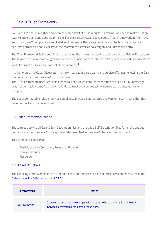# <span id="page-2-0"></span>1. Gaia-X Trust Framework

For Gaia-X to ensure a higher and unprecedented level of trust in digital platforms, we need to make trust an easy to understand and adopted principle. For this reason, Gaia-X developed a Trust Framework â€" formerly known as Gaia-X Compliance - and Labelling Framework that safeguards data protection, transparency, security, portability, and flexibility for the ecosystem as well as sovereignty and European Control.

The Trust Framework is the set of rules that define the minimum baseline to be part of the Gaia-X Ecosystem. Those rules ensure a common governance and the basic levels of interoperability across individual ecosystems

<span id="page-2-2"></span>while letting the users in full control of their choices. $1$ 

In other words, the Gaia-X Ecosystem is the virtual set of participants and service offerings following the Gaia-X requirements from the Gaia-X Trust Framework.

The Trust Framework uses verifiable credentials and linked data representation to build a FAIR knowledge graph of verifiable claims from which additional trust and composability indexes can be automatically computed.

The set of computable rules known as compliance process is automated and versionned. It means that this document will also be versionned.

#### <span id="page-2-1"></span>1.1 Trust Framework scope

Those rules apply to all Gaia-X Self-Description files and there is a Self-Description files for all the entities defined as part of the Gaia-X Conceptual model described in the Gaia-X Architecture document:

This list mainly consists of:

- Participant with Consumer, Federator, Provider
- Service Offering ◦
- Resource ◦

#### 1.1.1 Gaia-X Labels

The Labelling Framework itself is further detailed and translated into concrete criteria and measures in the [Gaia-X Labelling Criteria document 22.04](https://www.gaia-x.eu/publications).

| <b>Framework</b>       | <b>Notes</b>                                                                                                                         |
|------------------------|--------------------------------------------------------------------------------------------------------------------------------------|
| <b>Trust Framework</b> | Compulsory set of rules to comply with in other to be part of the Gaia-X Ecosystem.<br>Individual ecosystems can extend those rules. |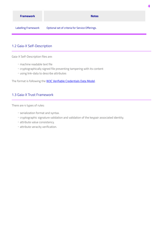| <b>Framework</b>           | <b>Notes</b>                                    |
|----------------------------|-------------------------------------------------|
| <b>Labelling Framework</b> | Optional set of criteria for Service Offerings. |

4

## <span id="page-3-0"></span>1.2 Gaia-X Self-Description

Gaia-X Self-Description files are:

- machine readable text file ◦
- cryptographically signed file preventing tampering with its content
- using link-data to describe attributes ◦

The format is following the **W3C Verifiable Credentials Data Model**.

#### <span id="page-3-1"></span>1.3 Gaia-X Trust Framework

There are 4 types of rules:

- serialization format and syntax.
- cryptographic signature validation and validation of the keypair associated identity.
- attribute value consistency. ◦
- attribute veracity verification. ◦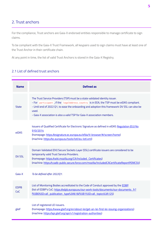# <span id="page-4-0"></span>2. Trust anchors

For the compliance, Trust anchors are Gaia-X endorsed entities responsible to manage certificate to sign claims.

To be compliant with the Gaia-X Trust Framework, all keypairs used to sign claims must have at least one of the Trust Anchor in their certificate chain.

At any point in time, the list of valid Trust Anchors is stored in the Gaia-X Registry.

# <span id="page-4-1"></span>2.1 List of defined trust anchors

| <b>Name</b>        | <b>Defined</b> as                                                                                                                                                                                                                                                                                                                                                |
|--------------------|------------------------------------------------------------------------------------------------------------------------------------------------------------------------------------------------------------------------------------------------------------------------------------------------------------------------------------------------------------------|
| <b>State</b>       | The Trust Service Providers (TSP) must be a state validated identity issuer.<br>- For participant, if the legalAddress.country is in EEA, the TSP must be eiDAS compliant.<br>- Until end of 2022 Q1, to ease the onboarding and adoption this framework DV SSL can also be<br>used.<br>- Gaia-X association is also a valid TSP for Gaia-X association members. |
| eiDAS              | Issuers of Qualified Certificate for Electronic Signature as defined in eIDAS Regulation (EU) No<br>910/2014<br>(homepage: https://esignature.ec.europa.eu/efda/tl-browser/#/screen/home)<br>(machine: https://ec.europa.eu/tools/lotl/eu-lotl.xml)                                                                                                              |
| DV SSL             | Domain Validated (DV) Secure Sockets Layer (SSL) certificate issuers are considered to be<br>temporarily valid Trust Service Providers.<br>(homepage: https://wiki.mozilla.org/CA/Included_Certificates)<br>(machine: https://ccadb-public.secure.force.com/mozilla/IncludedCACertificateReportPEMCSV)                                                           |
| Gaia-X             | To be defined after 2022Q1.                                                                                                                                                                                                                                                                                                                                      |
| <b>FDPB</b><br>CoC | List of Monitoring Bodies accreditated to the Code of Conduct approved by the EDBP<br>(list of EDBP's CoC: https://edpb.europa.eu/our-work-tools/documents/our-documents_fr?<br>f%5B0%5D=all_publication_type%3A61&f%5B1%5D=all_topics%3A125)                                                                                                                    |
| gleif              | List of registered LEI issuers.<br>(homepage: https://www.gleif.org/en/about-lei/get-an-lei-find-lei-issuing-organizations)<br>(machine: https://api.gleif.org/api/v1/registration-authorities)                                                                                                                                                                  |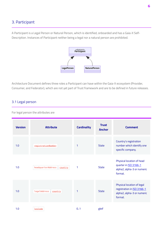# <span id="page-5-0"></span>3. Participant

A Participant is a Legal Person or Natural Person, which is identified, onboarded and has a Gaia-X Self-Description. Instances of Participant neither being a legal nor a natural person are prohibited.



Architecture Document defines three roles a Participant can have within the Gaia-X ecosystem (Provider, Consumer, and Federator), which are not yet part of Trust framework and are to be defined in future releases.

## <span id="page-5-1"></span>3.1 Legal person

For legal person the attributes are

| <b>Version</b> | <b>Attribute</b>             | <b>Cardinality</b> | <b>Trust</b><br><b>Anchor</b> | <b>Comment</b>                                                                                     |
|----------------|------------------------------|--------------------|-------------------------------|----------------------------------------------------------------------------------------------------|
| 1.0            | registrationNumber           | 1                  | <b>State</b>                  | Country's registration<br>number which identify one<br>specific company.                           |
| 1.0            | headquarterAddress   country | 1                  | <b>State</b>                  | Physical location of head<br>quarter in <b>ISO 3166-1</b><br>alpha2, alpha-3 or numeric<br>format. |
| 1.0            | legalAddress country         | 1                  | <b>State</b>                  | Physical location of legal<br>registration in ISO 3166-1<br>alpha2, alpha-3 or numeric<br>format.  |
| 1.0            | leiCode                      | 0.1                | gleif                         |                                                                                                    |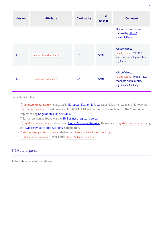| <b>Version</b> | <b>Attribute</b>     | <b>Cardinality</b> | <b>Trust</b><br><b>Anchor</b> | <b>Comment</b>                                                                                     |
|----------------|----------------------|--------------------|-------------------------------|----------------------------------------------------------------------------------------------------|
|                |                      |                    |                               | Unique LEI number as<br>defined by https://<br>www.gleif.org.                                      |
| 1.0            | parentOrganisation[] | $0.$ *             | <b>State</b>                  | A list of direct<br>participant that this<br>entity is a subOrganization<br>of, if any.            |
| 1.0            | subOrganisation[]    | $0.$ *             | <b>State</b>                  | A list of direct<br>participant with an legal<br>mandate on this entity,<br>e.g., as a subsidiary. |

#### Consistency rules

◦ If legalAddress.country is located in [European Economic Area](https://ec.europa.eu/eurostat/statistics-explained/index.php?title=Glossary:European_Economic_Area_(EEA)), Iceland, Lichtenstein and Norway then registrationNumber must be a valid ISO 6523 EUID as specified in the section 8 of the Commission Implementing [Regulation \(EU\) 2015/884.](https://eur-lex.europa.eu/legal-content/EN/TXT/?uri=CELEX%3A32015R0884)

This number can be found via the [EU Business registers portal](https://e-justice.europa.eu/content_find_a_company-489-en.do)

- If | legalAddress.country | is located in *United States of America*, than a valid | legalAddress.state | using the [two-letter state abbreviations](https://pe.usps.com/text/pub28/28apb.htm) is mandatory
- leiCode.headquarter.country Shall equal headquarterAddress.country.
- leiCode.legal.country shall equal legalAddress.country.

#### <span id="page-6-0"></span>3.2 Natural person

To be defined in a future release.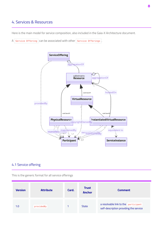# <span id="page-7-0"></span>4. Services & Resources

Here is the main model for service composition, also included in the Gaia-X Architecture document.

A Service Offering can be associated with other Service Offerings.



## <span id="page-7-1"></span>4.1 Service offering

This is the generic format for all service offerings

| <b>Version</b> | <b>Attribute</b> | Card. | <b>Trust</b><br><b>Anchor</b> | <b>Comment</b>                                                                 |
|----------------|------------------|-------|-------------------------------|--------------------------------------------------------------------------------|
| 1.0            | providedBy       |       | <b>State</b>                  | a resolvable link to the participant<br>self-description providing the service |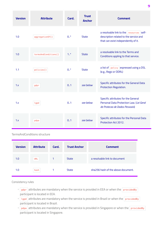| <b>Version</b> | <b>Attribute</b>     | Card.  | <b>Trust</b><br><b>Anchor</b> | <b>Comment</b>                                                                                                            |
|----------------|----------------------|--------|-------------------------------|---------------------------------------------------------------------------------------------------------------------------|
| 1.0            | aggregation0f[]      | $0.$ * | <b>State</b>                  | a resolvable link to the resources self-<br>description related to the service and<br>that can exist independently of it. |
| 1.0            | termsAndConditions[] | $1.$ * | <b>State</b>                  | a resolvable link to the Terms and<br>Conditions appling to that service.                                                 |
| 1.1            | policies[]           | $0.$ * | <b>State</b>                  | a list of policy expressed using a DSL<br>(e.g., Rego or ODRL)                                                            |
| 1.x            | gdpr                 | 0.1    | see below                     | Specific attributes for the General Data<br>Protection Regulation.                                                        |
| 1.x            | lgpd                 | 0.1    | see below                     | Specific attributes for the General<br>Personal Data Protection Law. (Lei Geral<br>de Protecao de Dados Pessoais)         |
| 1.x            | pdpa                 | 0.1    | see helow                     | Specific attributes for the Personal Data<br>Protection Act 2012.                                                         |

TermsAndConditions structure

| <b>Version</b> | <b>Attribute</b> | Card. | <b>Trust Anchor</b> | <b>Comment</b>                     |
|----------------|------------------|-------|---------------------|------------------------------------|
| 1.0            | <b>URL</b>       |       | <b>State</b>        | a resolvable link to document      |
| 1.0            | hash             |       | <b>State</b>        | sha256 hash of the above document. |

Consistency rules

- gdpr attributes are mandatory when the service is provided in EEA or when the providedBy participant is located in EEA.
- 1gpd attributes are mandatory when the service is provided in Brazil or when the providedBy participant is located in Brazil.
- pdpa attributes are mandatory when the service is provided in Singapore or when the providedBy participant is located in Singapore.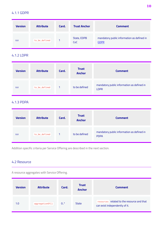#### 4.1.1 GDPR

| <b>Version</b> | <b>Attribute</b> | Card. | <b>Trust Anchor</b> | <b>Comment</b>                                            |
|----------------|------------------|-------|---------------------|-----------------------------------------------------------|
| X.X            | to be defined    |       | State, EDPB<br>CoC  | mandatory public information as defined in<br><b>GDPR</b> |

## 4.1.2 LDPR

| <b>Version</b> | <b>Attribute</b> | Card. | <b>Trust</b><br><b>Anchor</b> | <b>Comment</b>                                            |
|----------------|------------------|-------|-------------------------------|-----------------------------------------------------------|
| X.X            | to_be_defined    |       | to be defined                 | mandatory public information as defined in<br><b>LDPR</b> |

# 4.1.3 PDPA

| <b>Version</b> | <b>Attribute</b> | Card. | <b>Trust</b><br><b>Anchor</b> | <b>Comment</b>                                            |
|----------------|------------------|-------|-------------------------------|-----------------------------------------------------------|
| X.X            | to_be_defined    | 1     | to be defined                 | mandatory public information as defined in<br><b>PDPA</b> |

Addition specific criteria per Service Offering are described in the next section.

# <span id="page-9-0"></span>4.2 Resource

A resource aggregates with Service Offering.

| <b>Version</b> | <b>Attribute</b> | Card.  | <b>Trust</b><br><b>Anchor</b> | <b>Comment</b>                                                               |
|----------------|------------------|--------|-------------------------------|------------------------------------------------------------------------------|
| 1.0            | aggregation0f[]  | $0.$ * | <b>State</b>                  | resources related to the resource and that<br>can exist independently of it. |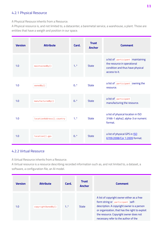## 4.2.1 Physical Resource

A Physical Resouce inherits from a Resource.

A Physical resource is, and not limited to, a datacenter, a baremetal service, a warehouse, a plant. Those are entities that have a weigth and position in our space.

| <b>Version</b> | <b>Attribute</b>          | Card.  | <b>Trust</b><br><b>Anchor</b> | <b>Comment</b>                                                                                                        |
|----------------|---------------------------|--------|-------------------------------|-----------------------------------------------------------------------------------------------------------------------|
| 1.0            | maintainedBy[]            | $1.$ * | <b>State</b>                  | a list of participant maintaining<br>the resource in operational<br>condition and thus have physical<br>access to it. |
| 1.0            | ownedBy[]                 | $0.$ * | <b>State</b>                  | a list of participant owning the<br>resource.                                                                         |
| 1.0            | manufacturedBy[]          | $0.$ * | <b>State</b>                  | a list of participant<br>manufacturing the resource.                                                                  |
| 1.0            | locationAddress[].country | $1.$ * | <b>State</b>                  | a list of physical location in ISO<br>3166-1 alpha2, alpha-3 or numeric<br>format.                                    |
| 1.0            | location[].gps            | $0.$ * | <b>State</b>                  | a list of physical GPS in <b>ISO</b><br>6709:2008/Cor 1:2009 format.                                                  |

## 4.2.2 Virtual Resource

A Virtual Resource inherits from a Resource.

A Virtual resource is a resource describing recorded information such as, and not limited to, a dataset, a software, a configuration file, an AI model.

| <b>Version</b> | <b>Attribute</b>   | Card.  | <b>Trust</b><br><b>Anchor</b> | <b>Comment</b>                                                                                                                                                                                                                                                   |
|----------------|--------------------|--------|-------------------------------|------------------------------------------------------------------------------------------------------------------------------------------------------------------------------------------------------------------------------------------------------------------|
| 1.0            | copyright0wnedBy[] | $1.$ * | <b>State</b>                  | A list of copyright owner either as a free<br>form string or participant self-<br>description. A copyright owner is a person<br>or organization, that has the right to exploit<br>the resource. Copyright owner does not<br>necessary refer to the author of the |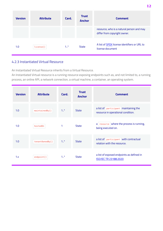| <b>Version</b> | <b>Attribute</b> | Card.  | <b>Trust</b><br><b>Anchor</b> | <b>Comment</b>                                                            |
|----------------|------------------|--------|-------------------------------|---------------------------------------------------------------------------|
|                |                  |        |                               | resource, who is a natural person and may<br>differ from copyright owner. |
| 1.0            | license[]        | $1.$ * | <b>State</b>                  | A list of SPDX license identifiers or URL to<br>license document          |

## 4.2.3 Instantiated Virtual Resource

An Instantiated Virtual Resource inherits from a Virtual Resource.

An Instantiated Virtual resource is a running resource exposing endpoints such as, and not limited to, a running process, an online API, a network connection, a virtual machine, a container, an operating system.

| <b>Version</b> | <b>Attribute</b> | Card.  | <b>Trust</b><br><b>Anchor</b> | <b>Comment</b>                                                              |
|----------------|------------------|--------|-------------------------------|-----------------------------------------------------------------------------|
| 1.0            | maintainedBy[]   | $1.$ * | <b>State</b>                  | a list of participant maintaining the<br>resource in operational condition. |
| 1.0            | hosted0n         | 1      | <b>State</b>                  | a resource where the process is running,<br>being executed on.              |
| 1.0            | tenant0wnedBy[]  | $1.$ * | <b>State</b>                  | a list of participant with contractual<br>relation with the resource.       |
| 1.x            | endpoint[]       | $1.$ * | <b>State</b>                  | a list of exposed endpoints as defined in<br><b>ISO/IEC TR 23188:2020</b>   |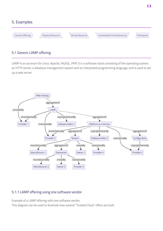<span id="page-12-0"></span>

# <span id="page-12-1"></span>5.1 Generic LAMP offering

LAMP is an acronym for Linux, Apache, MySQL, PHP. It is a software stack consisting of the operating system, an HTTP server, a database management system and an interpreted programming language, and is used to set up a web server.



## 5.1.1 LAMP offering using one software vendor

Example of a LAMP offering with one software vendor.

This diagram can be used to illustrate how several "Trusted Cloud" offers are built.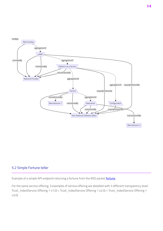

## <span id="page-13-0"></span>5.2 Simple Fortune teller

Example of a simple API endpoint returning a [fortune](https://en.wikipedia.org/wiki/Fortune_(Unix)) from the BSD packet fortune.

For the same service offering, 3 examples of service offering are detailled with 3 different transparency level: Trust\_Index(Service Offering 1 v1.0) < Trust\_Index(Service Offering 1 v2.0) < Trust\_Index(Service Offering 1 v3.0)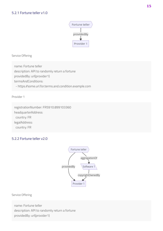

Service Offering

name: Fortune teller description: API to randomly return a fortune providedBy: url(provider1) termsAndConditions: - https://some.url.for.terms.and.condition.example.com

Provider 1

registrationNumber: FR5910.899103360 headquarterAddress: country: FR legalAddress: country: FR

# 5.2.2 Fortune teller v2.0



Service Offering

name: Fortune teller description: API to randomly return a fortune providedBy: url(provider1)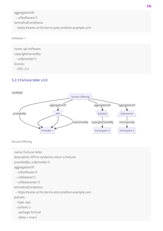aggregationOf:

- url(software1)

termsAndConditions:

- https://some.url.for.terms.and.condition.example.com

```
Software 1
```
name: api software copyrightOwnedBy: - url(provider1) license:

 $-$  FPI $-2$   $0$ 

# 5.2.3 Fortune teller v3.0



Service Offering

```
name: Fortune teller
description: API to randomly return a fortune
providedBy: url(provider1)
aggregationOf:
 - url(software1)
  - url(dataset1)
  - url(datacenter1)
termsAndConditions:
  - https://some.url.for.terms.and.condition.example.com
policies:
  - type: opa
   content: |-
    package fortune
   allow = true {
```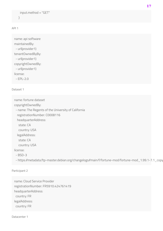```
 input.method = "GET"
 }
```
API 1

```
name: api software
maintainedBy:
 - url(provider1)
tenantOwnedByBy:
  - url(provider1)
copyrightOwnedBy:
  - url(provider1)
license:
  - EPL-2.0
```
#### Dataset 1

name: fortune dataset

copyrightOwnedBy:

- name: The Regents of the University of California

registrationNumber: C0008116

headquarterAddress:

state: CA

country: USA

legalAddress:

state: CA

country: USA

license:

- BSD-3

- https://metadata.ftp-master.debian.org/changelogs//main/f/fortune-mod/fortune-mod\_1.99.1-7.1\_copy

#### Participant 2

name: Cloud Service Provider registrationNumber: FR5910.424761419 headquarterAddress: country: FR legalAddress: country: FR